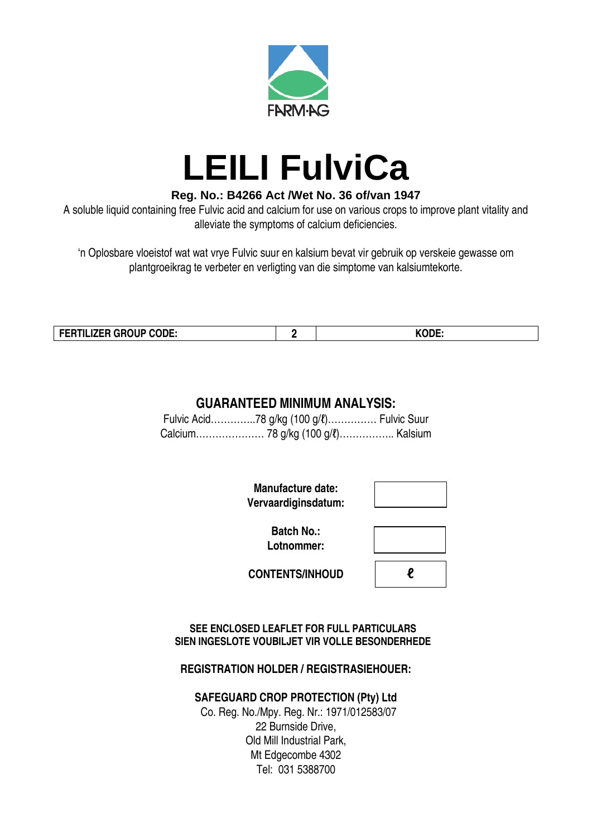

## **LEILI FulviCa**

## **Reg. No.: B4266 Act /Wet No. 36 of/van 1947**

A soluble liquid containing free Fulvic acid and calcium for use on various crops to improve plant vitality and alleviate the symptoms of calcium deficiencies.

'n Oplosbare vloeistof wat wat vrye Fulvic suur en kalsium bevat vir gebruik op verskeie gewasse om plantgroeikrag te verbeter en verligting van die simptome van kalsiumtekorte.

| FERTILIZER GROUP CODE: |  | $\mathbf{r}$ |
|------------------------|--|--------------|
|------------------------|--|--------------|

## **GUARANTEED MINIMUM ANALYSIS:**

Fulvic Acid…………..78 g/kg (100 g/ℓ)…………… Fulvic Suur Calcium………………… 78 g/kg (100 g/ℓ)…………….. Kalsium

> **Manufacture date: Vervaardiginsdatum:**

> > **Batch No.: Lotnommer:**

| l |  |
|---|--|

**CONTENTS/INHOUD**

**SEE ENCLOSED LEAFLET FOR FULL PARTICULARS SIEN INGESLOTE VOUBILJET VIR VOLLE BESONDERHEDE**

**REGISTRATION HOLDER / REGISTRASIEHOUER:**

## **SAFEGUARD CROP PROTECTION (Pty) Ltd**

Co. Reg. No./Mpy. Reg. Nr.: 1971/012583/07 22 Burnside Drive, Old Mill Industrial Park, Mt Edgecombe 4302 Tel: 031 5388700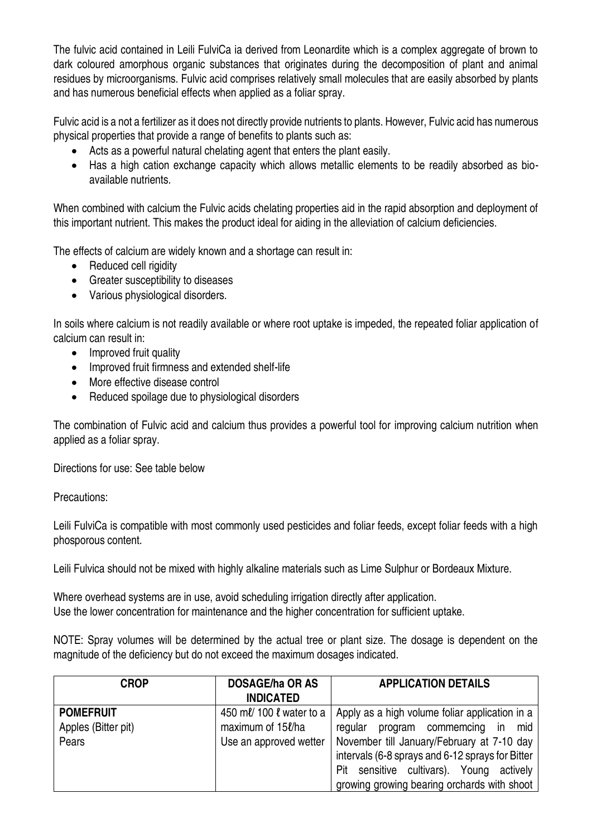The fulvic acid contained in Leili FulviCa ia derived from Leonardite which is a complex aggregate of brown to dark coloured amorphous organic substances that originates during the decomposition of plant and animal residues by microorganisms. Fulvic acid comprises relatively small molecules that are easily absorbed by plants and has numerous beneficial effects when applied as a foliar spray.

Fulvic acid is a not a fertilizer as it does not directly provide nutrients to plants. However, Fulvic acid has numerous physical properties that provide a range of benefits to plants such as:

- Acts as a powerful natural chelating agent that enters the plant easily.
- Has a high cation exchange capacity which allows metallic elements to be readily absorbed as bioavailable nutrients.

When combined with calcium the Fulvic acids chelating properties aid in the rapid absorption and deployment of this important nutrient. This makes the product ideal for aiding in the alleviation of calcium deficiencies.

The effects of calcium are widely known and a shortage can result in:

- Reduced cell rigidity
- Greater susceptibility to diseases
- Various physiological disorders.

In soils where calcium is not readily available or where root uptake is impeded, the repeated foliar application of calcium can result in:

- Improved fruit quality
- Improved fruit firmness and extended shelf-life
- More effective disease control
- Reduced spoilage due to physiological disorders

The combination of Fulvic acid and calcium thus provides a powerful tool for improving calcium nutrition when applied as a foliar spray.

Directions for use: See table below

Precautions:

Leili FulviCa is compatible with most commonly used pesticides and foliar feeds, except foliar feeds with a high phosporous content.

Leili Fulvica should not be mixed with highly alkaline materials such as Lime Sulphur or Bordeaux Mixture.

Where overhead systems are in use, avoid scheduling irrigation directly after application. Use the lower concentration for maintenance and the higher concentration for sufficient uptake.

NOTE: Spray volumes will be determined by the actual tree or plant size. The dosage is dependent on the magnitude of the deficiency but do not exceed the maximum dosages indicated.

| <b>CROP</b>         | <b>DOSAGE/ha OR AS</b>   | <b>APPLICATION DETAILS</b>                       |
|---------------------|--------------------------|--------------------------------------------------|
|                     | <b>INDICATED</b>         |                                                  |
| <b>POMEFRUIT</b>    | 450 ml/ 100 l water to a | Apply as a high volume foliar application in a   |
| Apples (Bitter pit) | maximum of 15l/ha        | regular program commemcing<br>mid<br><i>in</i>   |
| Pears               | Use an approved wetter   | November till January/February at 7-10 day       |
|                     |                          | intervals (6-8 sprays and 6-12 sprays for Bitter |
|                     |                          | sensitive cultivars). Young actively<br>Pit      |
|                     |                          | growing growing bearing orchards with shoot      |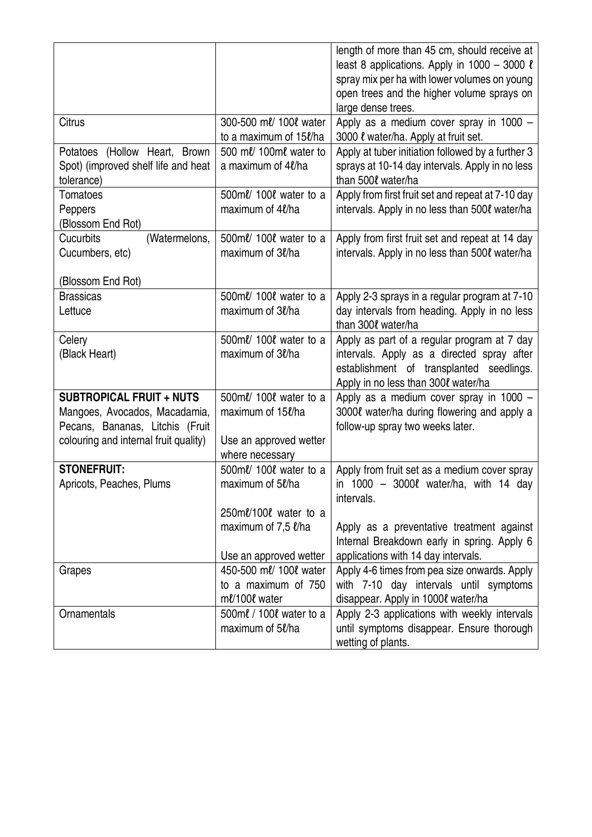|                                                                          |                                              | length of more than 45 cm, should receive at                                               |
|--------------------------------------------------------------------------|----------------------------------------------|--------------------------------------------------------------------------------------------|
|                                                                          |                                              | least 8 applications. Apply in $1000 - 3000$ $\ell$                                        |
|                                                                          |                                              | spray mix per ha with lower volumes on young<br>open trees and the higher volume sprays on |
|                                                                          |                                              | large dense trees.                                                                         |
| Citrus                                                                   | 300-500 ml/ 100l water                       | Apply as a medium cover spray in 1000 -                                                    |
|                                                                          | to a maximum of 15l/ha                       | 3000 l water/ha. Apply at fruit set.                                                       |
| Potatoes (Hollow Heart, Brown                                            | 500 ml/ 100ml water to                       | Apply at tuber initiation followed by a further 3                                          |
| Spot) (improved shelf life and heat                                      | a maximum of 4l/ha                           | sprays at 10-14 day intervals. Apply in no less                                            |
| tolerance)                                                               |                                              | than 500 l water/ha                                                                        |
| Tomatoes                                                                 | 500ml/ 100l water to a                       | Apply from first fruit set and repeat at 7-10 day                                          |
| Peppers                                                                  | maximum of 4l/ha                             | intervals. Apply in no less than 5000 water/ha                                             |
| (Blossom End Rot)                                                        |                                              |                                                                                            |
| Cucurbits<br>(Watermelons,<br>Cucumbers, etc)                            | 500 ml/ 100 l water to a<br>maximum of 3l/ha | Apply from first fruit set and repeat at 14 day                                            |
|                                                                          |                                              | intervals. Apply in no less than 500ℓ water/ha                                             |
| (Blossom End Rot)                                                        |                                              |                                                                                            |
| <b>Brassicas</b>                                                         | 500ml/ 100l water to a                       | Apply 2-3 sprays in a regular program at 7-10                                              |
| Lettuce                                                                  | maximum of 3l/ha                             | day intervals from heading. Apply in no less                                               |
|                                                                          |                                              | than 300 l water/ha                                                                        |
| Celery                                                                   | 500ml/ 100l water to a                       | Apply as part of a regular program at 7 day                                                |
| (Black Heart)                                                            | maximum of 3l/ha                             | intervals. Apply as a directed spray after                                                 |
|                                                                          |                                              | establishment of transplanted seedlings.                                                   |
|                                                                          |                                              | Apply in no less than 3000 water/ha                                                        |
| <b>SUBTROPICAL FRUIT + NUTS</b>                                          | 500ml/ 100l water to a                       | Apply as a medium cover spray in 1000 -                                                    |
| Mangoes, Avocados, Macadamia,                                            | maximum of 15l/ha                            | 30000 water/ha during flowering and apply a                                                |
| Pecans, Bananas, Litchis (Fruit<br>colouring and internal fruit quality) | Use an approved wetter                       | follow-up spray two weeks later.                                                           |
|                                                                          | where necessary                              |                                                                                            |
| <b>STONEFRUIT:</b>                                                       | 500ml/ 100l water to a                       | Apply from fruit set as a medium cover spray                                               |
| Apricots, Peaches, Plums                                                 | maximum of 5l/ha                             | in $1000 - 3000l$ water/ha, with 14 day                                                    |
|                                                                          |                                              | intervals.                                                                                 |
|                                                                          | 250 $m\ell/100\ell$ water to a               |                                                                                            |
|                                                                          | maximum of 7,5 $\ell$ /ha                    | Apply as a preventative treatment against                                                  |
|                                                                          |                                              | Internal Breakdown early in spring. Apply 6                                                |
|                                                                          | Use an approved wetter                       | applications with 14 day intervals.                                                        |
| Grapes                                                                   | 450-500 ml/ 100l water                       | Apply 4-6 times from pea size onwards. Apply                                               |
|                                                                          | to a maximum of 750                          | with 7-10 day intervals until symptoms                                                     |
|                                                                          | ml/100l water                                | disappear. Apply in 1000l water/ha                                                         |
| Ornamentals                                                              | 500ml / 100l water to a                      | Apply 2-3 applications with weekly intervals                                               |
|                                                                          | maximum of 5l/ha                             | until symptoms disappear. Ensure thorough                                                  |
|                                                                          |                                              | wetting of plants.                                                                         |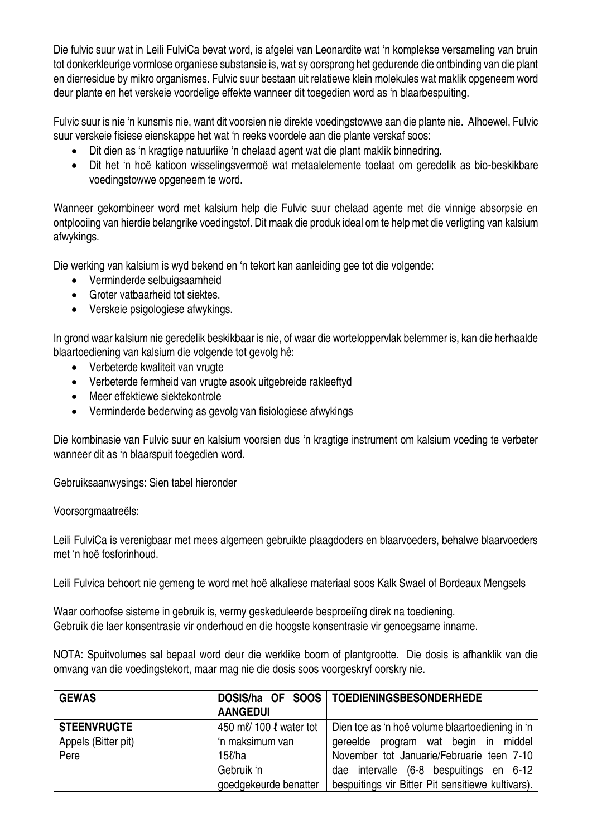Die fulvic suur wat in Leili FulviCa bevat word, is afgelei van Leonardite wat 'n komplekse versameling van bruin tot donkerkleurige vormlose organiese substansie is, wat sy oorsprong het gedurende die ontbinding van die plant en dierresidue by mikro organismes. Fulvic suur bestaan uit relatiewe klein molekules wat maklik opgeneem word deur plante en het verskeie voordelige effekte wanneer dit toegedien word as 'n blaarbespuiting.

Fulvic suur is nie 'n kunsmis nie, want dit voorsien nie direkte voedingstowwe aan die plante nie. Alhoewel, Fulvic suur verskeie fisiese eienskappe het wat 'n reeks voordele aan die plante verskaf soos:

- Dit dien as 'n kragtige natuurlike 'n chelaad agent wat die plant maklik binnedring.
- Dit het 'n hoë katioon wisselingsvermoë wat metaalelemente toelaat om geredelik as bio-beskikbare voedingstowwe opgeneem te word.

Wanneer gekombineer word met kalsium help die Fulvic suur chelaad agente met die vinnige absorpsie en ontplooiing van hierdie belangrike voedingstof. Dit maak die produk ideal om te help met die verligting van kalsium afwykings.

Die werking van kalsium is wyd bekend en 'n tekort kan aanleiding gee tot die volgende:

- Verminderde selbuigsaamheid
- Groter vatbaarheid tot siektes.
- Verskeie psigologiese afwykings.

In grond waar kalsium nie geredelik beskikbaar is nie, of waar die worteloppervlak belemmer is, kan die herhaalde blaartoediening van kalsium die volgende tot gevolg hê:

- Verbeterde kwaliteit van vrugte
- Verbeterde fermheid van vrugte asook uitgebreide rakleeftyd
- Meer effektiewe siektekontrole
- Verminderde bederwing as gevolg van fisiologiese afwykings

Die kombinasie van Fulvic suur en kalsium voorsien dus 'n kragtige instrument om kalsium voeding te verbeter wanneer dit as 'n blaarspuit toegedien word.

Gebruiksaanwysings: Sien tabel hieronder

Voorsorgmaatreëls:

Leili FulviCa is verenigbaar met mees algemeen gebruikte plaagdoders en blaarvoeders, behalwe blaarvoeders met 'n hoë fosforinhoud.

Leili Fulvica behoort nie gemeng te word met hoë alkaliese materiaal soos Kalk Swael of Bordeaux Mengsels

Waar oorhoofse sisteme in gebruik is, vermy geskeduleerde besproeiïng direk na toediening. Gebruik die laer konsentrasie vir onderhoud en die hoogste konsentrasie vir genoegsame inname.

NOTA: Spuitvolumes sal bepaal word deur die werklike boom of plantgrootte. Die dosis is afhanklik van die omvang van die voedingstekort, maar mag nie die dosis soos voorgeskryf oorskry nie.

| <b>GEWAS</b>        |                         | DOSIS/ha OF SOOS   TOEDIENINGSBESONDERHEDE        |
|---------------------|-------------------------|---------------------------------------------------|
|                     | <b>AANGEDUI</b>         |                                                   |
| <b>STEENVRUGTE</b>  | 450 ml/ 100 l water tot | Dien toe as 'n hoë volume blaartoediening in 'n   |
| Appels (Bitter pit) | 'n maksimum van         | gereelde program wat begin in middel              |
| Pere                | $15\ell$ /ha            | November tot Januarie/Februarie teen 7-10         |
|                     | Gebruik 'n              | dae intervalle (6-8 bespuitings en 6-12           |
|                     | goedgekeurde benatter   | bespuitings vir Bitter Pit sensitiewe kultivars). |